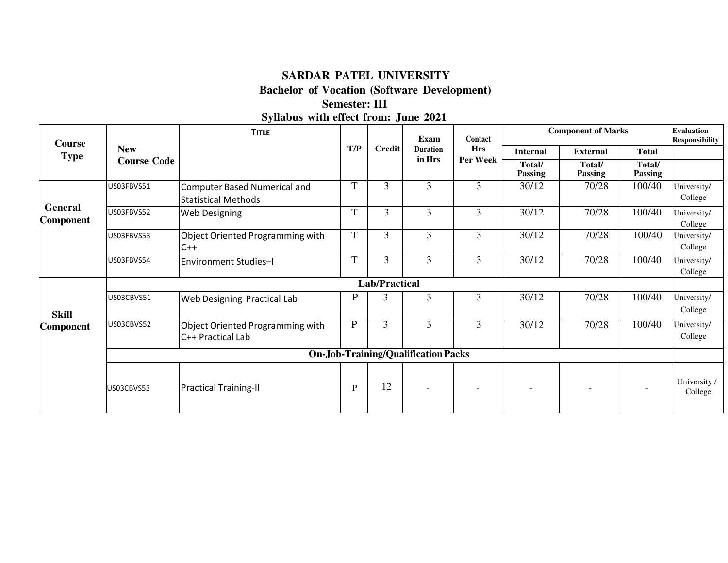## **SARDAR PATEL UNIVERSITY**

**Bachelor of Vocation (Software Development)** 

#### **Semester: III**

**Syllabus with effect from: June 2021** 

| <b>Course</b>                              |                    | <b>TITLE</b>                                                      |              |                      | Exam            | Contact    | <b>Component of Marks</b> |                   |                   | <b>Evaluation</b><br><b>Responsibility</b> |
|--------------------------------------------|--------------------|-------------------------------------------------------------------|--------------|----------------------|-----------------|------------|---------------------------|-------------------|-------------------|--------------------------------------------|
| <b>Type</b>                                | <b>New</b>         |                                                                   | T/P          | <b>Credit</b>        | <b>Duration</b> | <b>Hrs</b> | <b>Internal</b>           | <b>External</b>   | <b>Total</b>      |                                            |
|                                            | <b>Course Code</b> |                                                                   |              |                      | in Hrs          | Per Week   | Total/<br><b>Passing</b>  | Total/<br>Passing | Total/<br>Passing |                                            |
|                                            | US03FBVS51         | <b>Computer Based Numerical and</b><br><b>Statistical Methods</b> | T            | $\overline{3}$       | 3               | 3          | 30/12                     | 70/28             | 100/40            | University/<br>College                     |
| General<br><b>Component</b>                | US03FBVS52         | <b>Web Designing</b>                                              | T            | 3                    | 3               | 3          | 30/12                     | 70/28             | 100/40            | University/<br>College                     |
|                                            | US03FBVS53         | Object Oriented Programming with<br>$C++$                         | $\mathbf T$  | 3                    | 3               | 3          | 30/12                     | 70/28             | 100/40            | University/<br>College                     |
|                                            | US03FBVS54         | <b>Environment Studies-I</b>                                      | T            | 3                    | 3               | 3          | 30/12                     | 70/28             | 100/40            | University/<br>College                     |
|                                            |                    |                                                                   |              | <b>Lab/Practical</b> |                 |            |                           |                   |                   |                                            |
| <b>Skill</b>                               | US03CBVS51         | Web Designing Practical Lab                                       | $\mathbf P$  | 3                    | 3               | 3          | 30/12                     | 70/28             | 100/40            | University/<br>College                     |
| <b>Component</b>                           | US03CBVS52         | Object Oriented Programming with<br>C++ Practical Lab             | $\mathbf{P}$ | 3                    | 3               | 3          | 30/12                     | 70/28             | 100/40            | University/<br>College                     |
| <b>On-Job-Training/Qualification Packs</b> |                    |                                                                   |              |                      |                 |            |                           |                   |                   |                                            |
|                                            | US03CBVS53         | <b>Practical Training-II</b>                                      | P            | 12                   |                 |            |                           |                   |                   | University /<br>College                    |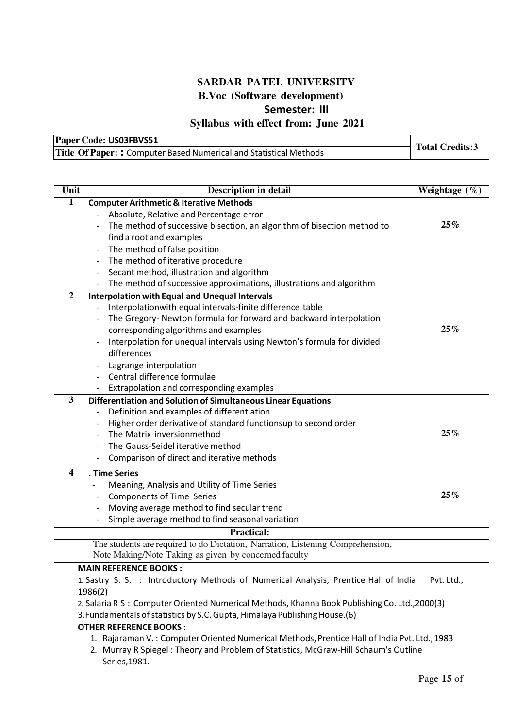## **SARDAR PATEL UNIVERSITY B.Voc (Software development) Semester: III**

#### **Syllabus with effect from: June 2021**

| Paper Code: US03FBVS51                                            | <b>Total Credits:3</b> |
|-------------------------------------------------------------------|------------------------|
| Title Of Paper:: Computer Based Numerical and Statistical Methods |                        |

| Unit                    | <b>Description in detail</b>                                                                        | Weightage (%) |
|-------------------------|-----------------------------------------------------------------------------------------------------|---------------|
| 1                       | <b>Computer Arithmetic &amp; Iterative Methods</b>                                                  |               |
|                         | Absolute, Relative and Percentage error                                                             |               |
|                         | The method of successive bisection, an algorithm of bisection method to<br>$\overline{\phantom{a}}$ | 25%           |
|                         | find a root and examples                                                                            |               |
|                         | The method of false position<br>$\overline{a}$                                                      |               |
|                         | The method of iterative procedure<br>$\overline{\phantom{a}}$                                       |               |
|                         | Secant method, illustration and algorithm<br>$\overline{a}$                                         |               |
|                         | The method of successive approximations, illustrations and algorithm<br>$\overline{\phantom{0}}$    |               |
| $\overline{2}$          | Interpolation with Equal and Unequal Intervals                                                      |               |
|                         | Interpolationwith equal intervals-finite difference table                                           |               |
|                         | The Gregory-Newton formula for forward and backward interpolation<br>$\overline{\phantom{0}}$       |               |
|                         | corresponding algorithms and examples                                                               | 25%           |
|                         | Interpolation for unequal intervals using Newton's formula for divided<br>$\overline{\phantom{a}}$  |               |
|                         | differences                                                                                         |               |
|                         | Lagrange interpolation<br>$\overline{\phantom{0}}$                                                  |               |
|                         | Central difference formulae                                                                         |               |
|                         | Extrapolation and corresponding examples                                                            |               |
| 3                       | Differentiation and Solution of Simultaneous Linear Equations                                       |               |
|                         | Definition and examples of differentiation<br>$\overline{a}$                                        |               |
|                         | Higher order derivative of standard functionsup to second order<br>Ē,                               |               |
|                         | The Matrix inversionmethod<br>L,                                                                    | 25%           |
|                         | The Gauss-Seidel iterative method<br>L,                                                             |               |
|                         | Comparison of direct and iterative methods                                                          |               |
| $\overline{\mathbf{4}}$ | <b>Time Series</b>                                                                                  |               |
|                         | Meaning, Analysis and Utility of Time Series<br>$\overline{\phantom{a}}$                            |               |
|                         | <b>Components of Time Series</b><br>$\overline{a}$                                                  | 25%           |
|                         | Moving average method to find secular trend<br>$\overline{\phantom{a}}$                             |               |
|                         | Simple average method to find seasonal variation                                                    |               |
|                         | <b>Practical:</b>                                                                                   |               |
|                         | The students are required to do Dictation, Narration, Listening Comprehension,                      |               |
|                         | Note Making/Note Taking as given by concerned faculty                                               |               |

#### **MAIN REFERENCE BOOKS :**

1. Sastry S. S. : Introductory Methods of Numerical Analysis, Prentice Hall of India Pvt. Ltd., 1986(2)

2. Salaria R S : Computer Oriented Numerical Methods, Khanna Book Publishing Co. Ltd.,2000(3) 3.Fundamentals of statistics by S.C. Gupta, Himalaya Publishing House.(6)

#### **OTHER REFERENCE BOOKS :**

- 1. Rajaraman V. : Computer Oriented Numerical Methods, Prentice Hall of India Pvt. Ltd., 1983
- 2. Murray R Spiegel : Theory and Problem of Statistics, McGraw-Hill Schaum's Outline Series,1981.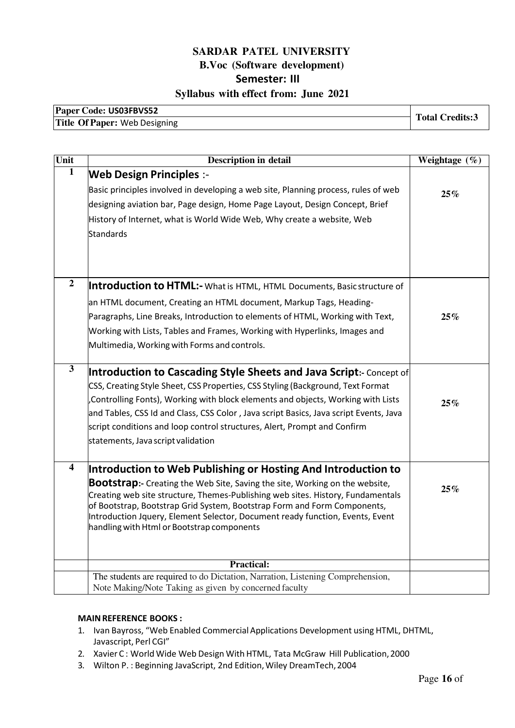| Paper Code: US03FBVS52        | <b>Total Credits:3</b> |
|-------------------------------|------------------------|
| Title Of Paper: Web Designing |                        |

| Unit             | <b>Description in detail</b>                                                                                                | Weightage (%) |
|------------------|-----------------------------------------------------------------------------------------------------------------------------|---------------|
| 1                | <b>Web Design Principles :-</b>                                                                                             |               |
|                  | Basic principles involved in developing a web site, Planning process, rules of web                                          | 25%           |
|                  | designing aviation bar, Page design, Home Page Layout, Design Concept, Brief                                                |               |
|                  | History of Internet, what is World Wide Web, Why create a website, Web                                                      |               |
|                  | Standards                                                                                                                   |               |
|                  |                                                                                                                             |               |
|                  |                                                                                                                             |               |
| $\boldsymbol{2}$ | Introduction to HTML:- What is HTML, HTML Documents, Basic structure of                                                     |               |
|                  |                                                                                                                             |               |
|                  | an HTML document, Creating an HTML document, Markup Tags, Heading-                                                          |               |
|                  | Paragraphs, Line Breaks, Introduction to elements of HTML, Working with Text,                                               | 25%           |
|                  | Working with Lists, Tables and Frames, Working with Hyperlinks, Images and                                                  |               |
|                  | Multimedia, Working with Forms and controls.                                                                                |               |
| $\mathbf{3}$     | Introduction to Cascading Style Sheets and Java Script:- Concept of                                                         |               |
|                  | CSS, Creating Style Sheet, CSS Properties, CSS Styling (Background, Text Format                                             |               |
|                  | Controlling Fonts), Working with block elements and objects, Working with Lists,                                            | 25%           |
|                  | and Tables, CSS Id and Class, CSS Color, Java script Basics, Java script Events, Java                                       |               |
|                  | script conditions and loop control structures, Alert, Prompt and Confirm                                                    |               |
|                  | statements, Java script validation                                                                                          |               |
| 4                | Introduction to Web Publishing or Hosting And Introduction to                                                               |               |
|                  | <b>Bootstrap:</b> - Creating the Web Site, Saving the site, Working on the website,                                         |               |
|                  | Creating web site structure, Themes-Publishing web sites. History, Fundamentals                                             | 25%           |
|                  | of Bootstrap, Bootstrap Grid System, Bootstrap Form and Form Components,                                                    |               |
|                  | Introduction Jquery, Element Selector, Document ready function, Events, Event<br>handling with Html or Bootstrap components |               |
|                  |                                                                                                                             |               |
|                  |                                                                                                                             |               |
|                  | <b>Practical:</b><br>The students are required to do Dictation, Narration, Listening Comprehension,                         |               |
|                  | Note Making/Note Taking as given by concerned faculty                                                                       |               |

#### **MAIN REFERENCE BOOKS :**

- 1. Ivan Bayross, "Web Enabled Commercial Applications Development using HTML, DHTML, Javascript, Perl CGI"
- 2. Xavier C : World Wide Web Design With HTML, Tata McGraw Hill Publication, 2000
- 3. Wilton P. : Beginning JavaScript, 2nd Edition, Wiley DreamTech, 2004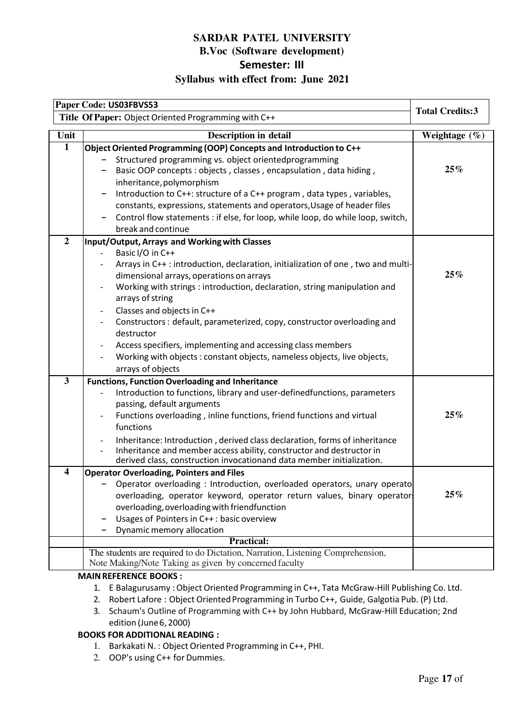|                                         | Paper Code: US03FBVS53                                                                                                                                                                                                                                                                                                                                                                                                                                                                                                                                                                                                                                                                        |                   |
|-----------------------------------------|-----------------------------------------------------------------------------------------------------------------------------------------------------------------------------------------------------------------------------------------------------------------------------------------------------------------------------------------------------------------------------------------------------------------------------------------------------------------------------------------------------------------------------------------------------------------------------------------------------------------------------------------------------------------------------------------------|-------------------|
|                                         | <b>Total Credits:3</b><br>Title Of Paper: Object Oriented Programming with C++                                                                                                                                                                                                                                                                                                                                                                                                                                                                                                                                                                                                                |                   |
| Unit                                    | <b>Description in detail</b>                                                                                                                                                                                                                                                                                                                                                                                                                                                                                                                                                                                                                                                                  | Weightage $(\% )$ |
| $\mathbf{1}$                            | Object Oriented Programming (OOP) Concepts and Introduction to C++<br>Structured programming vs. object orientedprogramming<br>Basic OOP concepts : objects, classes, encapsulation, data hiding,<br>inheritance, polymorphism<br>Introduction to C++: structure of a C++ program, data types, variables,<br>constants, expressions, statements and operators, Usage of header files<br>Control flow statements : if else, for loop, while loop, do while loop, switch,<br>break and continue                                                                                                                                                                                                 | 25%               |
| $\boldsymbol{2}$                        | Input/Output, Arrays and Working with Classes<br>Basic I/O in C++<br>Arrays in C++: introduction, declaration, initialization of one, two and multi-<br>dimensional arrays, operations on arrays<br>Working with strings : introduction, declaration, string manipulation and<br>$\overline{\phantom{a}}$<br>arrays of string<br>Classes and objects in C++<br>Constructors: default, parameterized, copy, constructor overloading and<br>destructor<br>Access specifiers, implementing and accessing class members<br>Working with objects : constant objects, nameless objects, live objects,<br>arrays of objects                                                                          | 25%               |
| $\mathbf{3}$<br>$\overline{\mathbf{4}}$ | <b>Functions, Function Overloading and Inheritance</b><br>Introduction to functions, library and user-definedfunctions, parameters<br>passing, default arguments<br>Functions overloading, inline functions, friend functions and virtual<br>functions<br>Inheritance: Introduction, derived class declaration, forms of inheritance<br>Inheritance and member access ability, constructor and destructor in<br>derived class, construction invocationand data member initialization.<br><b>Operator Overloading, Pointers and Files</b><br>Operator overloading: Introduction, overloaded operators, unary operato<br>overloading, operator keyword, operator return values, binary operator | 25%<br>25%        |
|                                         | overloading, overloading with friendfunction<br>Usages of Pointers in C++: basic overview<br>Dynamic memory allocation<br><b>Practical:</b><br>The students are required to do Dictation, Narration, Listening Comprehension,<br>Note Making/Note Taking as given by concerned faculty                                                                                                                                                                                                                                                                                                                                                                                                        |                   |

#### **MAIN REFERENCE BOOKS :**

- 1. E Balagurusamy : Object Oriented Programming in C++, Tata McGraw-Hill Publishing Co. Ltd.
- 2. Robert Lafore : Object Oriented Programming in Turbo C++, Guide, Galgotia Pub. (P) Ltd.
- 3. Schaum's Outline of Programming with C++ by John Hubbard, McGraw-Hill Education; 2nd edition (June 6, 2000)

#### **BOOKS FOR ADDITIONAL READING :**

- 1. Barkakati N. : Object Oriented Programming in C++, PHI.
- 2. OOP's using C++ for Dummies.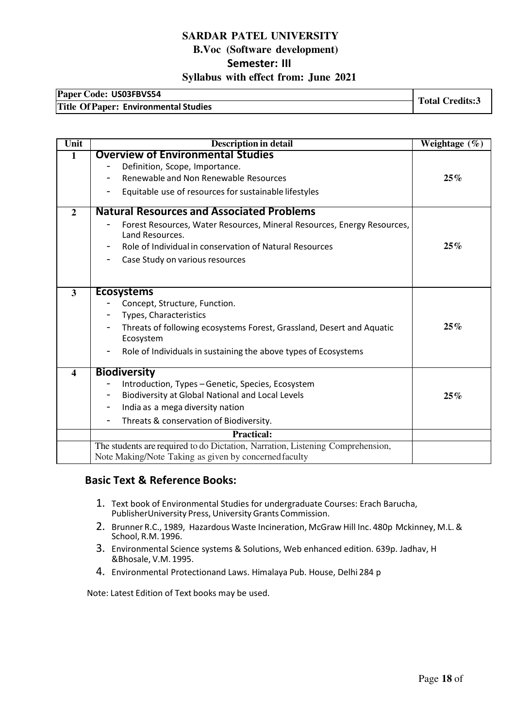# **Paper Code: US03FBVS54 Total Credits:3 Title Of Paper: Environmental Studies**

| Unit                    | Description in detail                                                                      | Weightage $(\%)$ |
|-------------------------|--------------------------------------------------------------------------------------------|------------------|
| 1                       | <b>Overview of Environmental Studies</b>                                                   |                  |
|                         | Definition, Scope, Importance.                                                             |                  |
|                         | Renewable and Non Renewable Resources                                                      | 25%              |
|                         | Equitable use of resources for sustainable lifestyles                                      |                  |
| $\mathbf{2}$            | <b>Natural Resources and Associated Problems</b>                                           |                  |
|                         | Forest Resources, Water Resources, Mineral Resources, Energy Resources,<br>Land Resources. |                  |
|                         | Role of Individual in conservation of Natural Resources                                    | 25%              |
|                         | Case Study on various resources<br>-                                                       |                  |
|                         |                                                                                            |                  |
| $\overline{\mathbf{3}}$ | <b>Ecosystems</b>                                                                          |                  |
|                         | Concept, Structure, Function.                                                              |                  |
|                         | Types, Characteristics                                                                     |                  |
|                         | Threats of following ecosystems Forest, Grassland, Desert and Aquatic<br>Ecosystem         | 25%              |
|                         | Role of Individuals in sustaining the above types of Ecosystems                            |                  |
| $\blacktriangleleft$    | <b>Biodiversity</b>                                                                        |                  |
|                         | Introduction, Types - Genetic, Species, Ecosystem                                          |                  |
|                         | Biodiversity at Global National and Local Levels                                           | 25%              |
|                         | India as a mega diversity nation                                                           |                  |
|                         | Threats & conservation of Biodiversity.                                                    |                  |
|                         | <b>Practical:</b>                                                                          |                  |
|                         | The students are required to do Dictation, Narration, Listening Comprehension,             |                  |
|                         | Note Making/Note Taking as given by concerned faculty                                      |                  |

#### **Basic Text & Reference Books:**

- 1. Text book of Environmental Studies for undergraduate Courses: Erach Barucha, PublisherUniversity Press, University Grants Commission.
- 2. Brunner R.C., 1989, Hazardous Waste Incineration, McGraw Hill Inc. 480p Mckinney, M.L. & School, R.M. 1996.
- 3. Environmental Science systems & Solutions, Web enhanced edition. 639p. Jadhav, H &Bhosale, V.M. 1995.
- 4. Environmental Protectionand Laws. Himalaya Pub. House, Delhi 284 p

Note: Latest Edition of Text books may be used.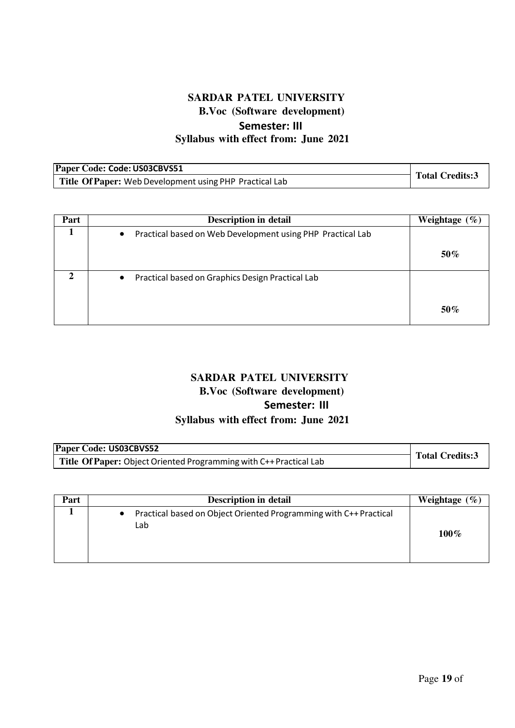| Paper Code: Code: US03CBVS51                            |                        |
|---------------------------------------------------------|------------------------|
| Title Of Paper: Web Development using PHP Practical Lab | <b>Total Credits:3</b> |

| Part | <b>Description in detail</b>                                            | Weightage<br>$\mathcal{O}_0$ |
|------|-------------------------------------------------------------------------|------------------------------|
|      | Practical based on Web Development using PHP Practical Lab<br>$\bullet$ |                              |
|      |                                                                         | $50\%$                       |
| ∍    | Practical based on Graphics Design Practical Lab<br>$\bullet$           |                              |
|      |                                                                         | 50%                          |

# **SARDAR PATEL UNIVERSITY B.Voc (Software development) Semester: III Syllabus with effect from: June 2021**

| Paper Code: US03CBVS52                                             |                        |
|--------------------------------------------------------------------|------------------------|
| Title Of Paper: Object Oriented Programming with C++ Practical Lab | <b>Total Credits:3</b> |

| Part | <b>Description in detail</b>                                                          | Weightage $(\% )$ |
|------|---------------------------------------------------------------------------------------|-------------------|
|      | Practical based on Object Oriented Programming with C++ Practical<br>$\bullet$<br>Lab | $100\%$           |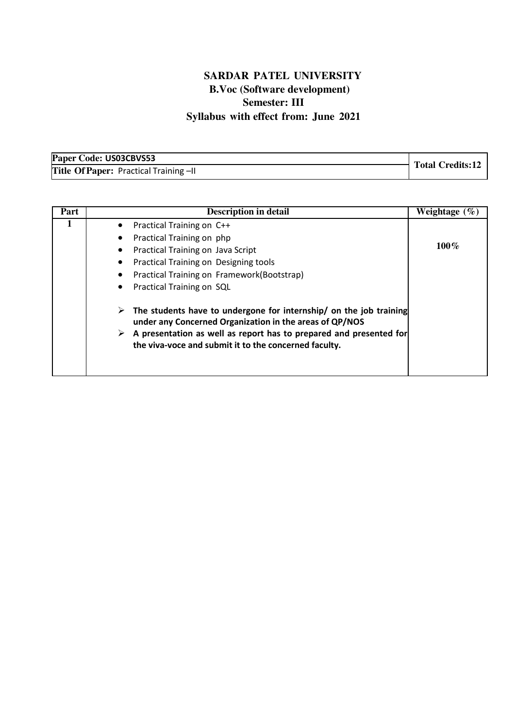| Paper Code: US03CBVS53                 |                         |
|----------------------------------------|-------------------------|
| Title Of Paper: Practical Training -II | <b>Total Credits:12</b> |

| Part | <b>Description in detail</b>                                                                                                                                                                                                                                           | Weightage $(\% )$ |
|------|------------------------------------------------------------------------------------------------------------------------------------------------------------------------------------------------------------------------------------------------------------------------|-------------------|
|      | Practical Training on C++<br>$\bullet$<br>Practical Training on php<br>Practical Training on Java Script<br>Practical Training on Designing tools<br>Practical Training on Framework(Bootstrap)<br>Practical Training on SQL                                           | $100\%$           |
|      | The students have to undergone for internship/ on the job training<br>➤<br>under any Concerned Organization in the areas of QP/NOS<br>A presentation as well as report has to prepared and presented for<br>➤<br>the viva-voce and submit it to the concerned faculty. |                   |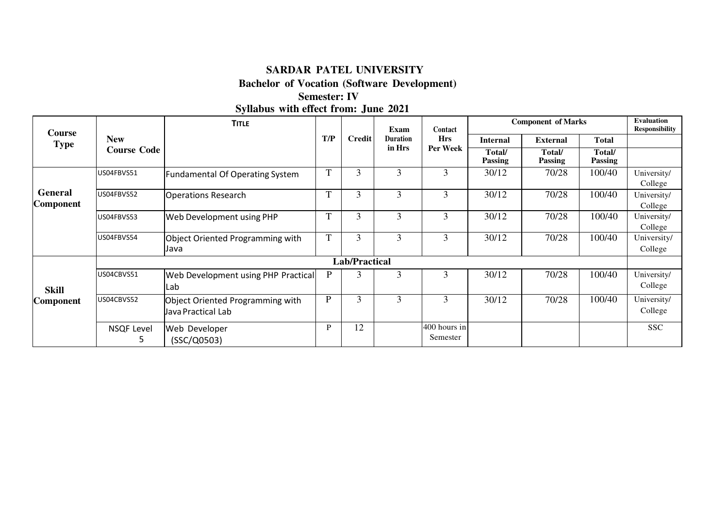#### **SARDAR PATEL UNIVERSITY**

**Bachelor of Vocation (Software Development)** 

# **Semester: IV Syllabus with effect from: June 2021**

| <b>Course</b>               |                        | <b>TITLE</b>                                           |              |                                     | Exam     | Contact                  |                          | <b>Component of Marks</b> |                 | <b>Evaluation</b><br><b>Responsibility</b> |              |  |
|-----------------------------|------------------------|--------------------------------------------------------|--------------|-------------------------------------|----------|--------------------------|--------------------------|---------------------------|-----------------|--------------------------------------------|--------------|--|
| <b>Type</b>                 | <b>New</b>             |                                                        | T/P          | Credit<br><b>Duration</b><br>in Hrs |          |                          |                          | <b>Hrs</b>                | <b>Internal</b> | <b>External</b>                            | <b>Total</b> |  |
|                             | <b>Course Code</b>     |                                                        |              |                                     | Per Week | Total/<br><b>Passing</b> | Total/<br><b>Passing</b> | Total/<br><b>Passing</b>  |                 |                                            |              |  |
|                             | US04FBVS51             | <b>Fundamental Of Operating System</b>                 | T            | 3                                   | 3        | 3                        | 30/12                    | 70/28                     | 100/40          | University/<br>College                     |              |  |
| General<br><b>Component</b> | US04FBVS52             | <b>Operations Research</b>                             | $\mathbf T$  | 3                                   | 3        | 3                        | 30/12                    | 70/28                     | 100/40          | University/<br>College                     |              |  |
|                             | US04FBVS53             | Web Development using PHP                              | T            | 3                                   | 3        | 3                        | 30/12                    | 70/28                     | 100/40          | University/<br>College                     |              |  |
|                             | US04FBVS54             | Object Oriented Programming with<br>Java               | T            | 3                                   | 3        | 3                        | 30/12                    | 70/28                     | 100/40          | University/<br>College                     |              |  |
|                             |                        |                                                        |              | <b>Lab/Practical</b>                |          |                          |                          |                           |                 |                                            |              |  |
| <b>Skill</b>                | US04CBVS51             | Web Development using PHP Practical<br>Lab             | $\mathbf{P}$ | 3                                   | 3        | 3                        | 30/12                    | 70/28                     | 100/40          | University/<br>College                     |              |  |
| <b>Component</b>            | US04CBVS52             | Object Oriented Programming with<br>Java Practical Lab | $\mathbf P$  | 3                                   | 3        | 3                        | 30/12                    | 70/28                     | 100/40          | University/<br>College                     |              |  |
|                             | <b>NSQF Level</b><br>э | Web Developer<br>(SSC/Q0503)                           | P            | 12                                  |          | 400 hours in<br>Semester |                          |                           |                 | <b>SSC</b>                                 |              |  |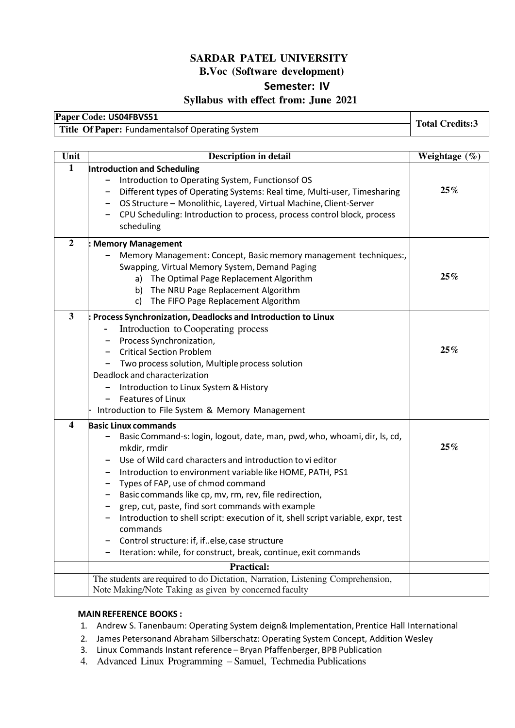#### **SARDAR PATEL UNIVERSITY B.Voc (Software development) Semester: IV**

#### **Syllabus with effect from: June 2021**

| Paper Code: US04FBVS51                          | <b>Total Credits:3</b> |
|-------------------------------------------------|------------------------|
| Title Of Paper: Fundamentalsof Operating System |                        |

| Unit                    | <b>Description in detail</b>                                                                                                                                                                                                                                                                                                                                                                                                                                                                                                                                                                                                            | Weightage $(\%)$ |
|-------------------------|-----------------------------------------------------------------------------------------------------------------------------------------------------------------------------------------------------------------------------------------------------------------------------------------------------------------------------------------------------------------------------------------------------------------------------------------------------------------------------------------------------------------------------------------------------------------------------------------------------------------------------------------|------------------|
| $\overline{1}$          | Introduction and Scheduling<br>- Introduction to Operating System, Functionsof OS<br>- Different types of Operating Systems: Real time, Multi-user, Timesharing<br>- OS Structure - Monolithic, Layered, Virtual Machine, Client-Server<br>- CPU Scheduling: Introduction to process, process control block, process<br>scheduling                                                                                                                                                                                                                                                                                                      | 25%              |
| $\overline{2}$          | <b>Memory Management</b><br>Memory Management: Concept, Basic memory management techniques:,<br>Swapping, Virtual Memory System, Demand Paging<br>a) The Optimal Page Replacement Algorithm<br>The NRU Page Replacement Algorithm<br>b)<br>The FIFO Page Replacement Algorithm<br>C)                                                                                                                                                                                                                                                                                                                                                    | 25%              |
| $\mathbf{3}$            | Process Synchronization, Deadlocks and Introduction to Linux<br>Introduction to Cooperating process<br>Process Synchronization,<br><b>Critical Section Problem</b><br>Two process solution, Multiple process solution<br>Deadlock and characterization<br>Introduction to Linux System & History<br><b>Features of Linux</b><br>Introduction to File System & Memory Management                                                                                                                                                                                                                                                         | 25%              |
| $\overline{\mathbf{4}}$ | <b>Basic Linux commands</b><br>Basic Command-s: login, logout, date, man, pwd, who, whoami, dir, ls, cd,<br>mkdir, rmdir<br>Use of Wild card characters and introduction to vi editor<br>- Introduction to environment variable like HOME, PATH, PS1<br>- Types of FAP, use of chmod command<br>- Basic commands like cp, mv, rm, rev, file redirection,<br>grep, cut, paste, find sort commands with example<br>- Introduction to shell script: execution of it, shell script variable, expr, test<br>commands<br>- Control structure: if, if. else, case structure<br>Iteration: while, for construct, break, continue, exit commands | 25%              |
|                         | <b>Practical:</b><br>The students are required to do Dictation, Narration, Listening Comprehension,                                                                                                                                                                                                                                                                                                                                                                                                                                                                                                                                     |                  |
|                         | Note Making/Note Taking as given by concerned faculty                                                                                                                                                                                                                                                                                                                                                                                                                                                                                                                                                                                   |                  |

#### **MAIN REFERENCE BOOKS :**

- 1. Andrew S. Tanenbaum: Operating System deign& Implementation, Prentice Hall International
- 2. James Petersonand Abraham Silberschatz: Operating System Concept, Addition Wesley
- 3. Linux Commands Instant reference Bryan Pfaffenberger, BPB Publication
- 4. Advanced Linux Programming Samuel, Techmedia Publications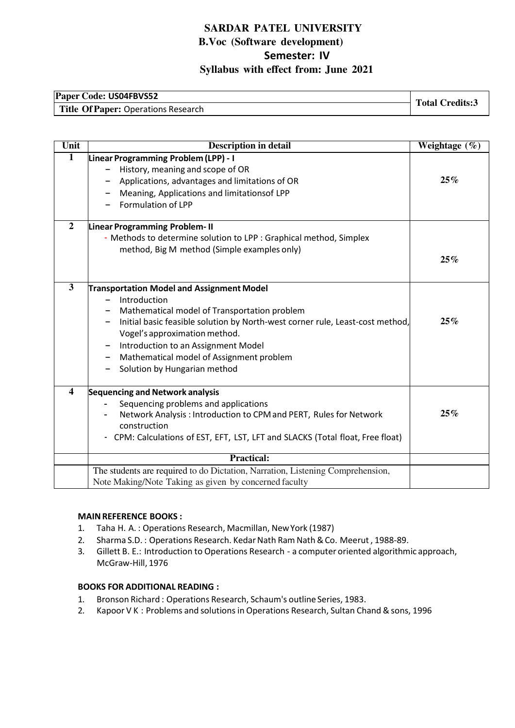## **Paper Code: US04FBVS52**  Title Of Paper: Operations Research<br>Title Of Paper: Operations Research

| Unit                    | <b>Description in detail</b>                                                                                                                                                                                                                                                                                                                          | Weightage $(\% )$ |
|-------------------------|-------------------------------------------------------------------------------------------------------------------------------------------------------------------------------------------------------------------------------------------------------------------------------------------------------------------------------------------------------|-------------------|
| $\mathbf{1}$            | Linear Programming Problem (LPP) - I<br>History, meaning and scope of OR<br>Applications, advantages and limitations of OR<br>Meaning, Applications and limitationsof LPP<br>Formulation of LPP                                                                                                                                                       | 25%               |
| $\overline{2}$          | Linear Programming Problem- II<br>- Methods to determine solution to LPP : Graphical method, Simplex<br>method, Big M method (Simple examples only)                                                                                                                                                                                                   | 25%               |
| $\overline{\mathbf{3}}$ | <b>Transportation Model and Assignment Model</b><br>Introduction<br>Mathematical model of Transportation problem<br>Initial basic feasible solution by North-west corner rule, Least-cost method,<br>Vogel's approximation method.<br>Introduction to an Assignment Model<br>Mathematical model of Assignment problem<br>Solution by Hungarian method | 25%               |
| $\overline{\mathbf{4}}$ | Sequencing and Network analysis<br>Sequencing problems and applications<br>Network Analysis: Introduction to CPM and PERT, Rules for Network<br>construction<br>- CPM: Calculations of EST, EFT, LST, LFT and SLACKS (Total float, Free float)                                                                                                        | 25%               |
|                         | <b>Practical:</b>                                                                                                                                                                                                                                                                                                                                     |                   |
|                         | The students are required to do Dictation, Narration, Listening Comprehension,<br>Note Making/Note Taking as given by concerned faculty                                                                                                                                                                                                               |                   |

#### **MAIN REFERENCE BOOKS :**

- 1. Taha H. A. : Operations Research, Macmillan, New York (1987)
- 2. Sharma S.D. : Operations Research. Kedar Nath Ram Nath & Co. Meerut , 1988-89.
- 3. Gillett B. E.: Introduction to Operations Research a computer oriented algorithmic approach, McGraw-Hill, 1976

#### **BOOKS FOR ADDITIONAL READING :**

- 1. Bronson Richard : Operations Research, Schaum's outline Series, 1983.
- 2. Kapoor V K : Problems and solutions in Operations Research, Sultan Chand & sons, 1996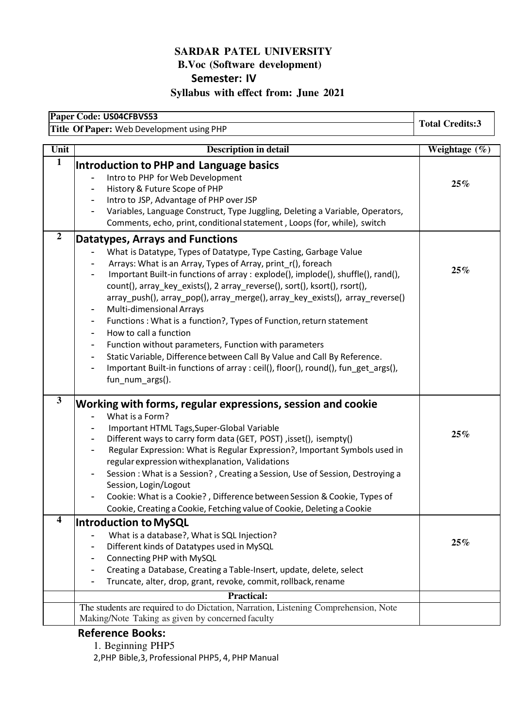# **SARDAR PATEL UNIVERSITY B.Voc (Software development) Semester: IV**

**Syllabus with effect from: June 2021** 

| Paper Code: US04CFBVS53                   | <b>Total Credits:3</b>                                                                                                                                                                                                                                                                                                                                                                                                                       |                  |
|-------------------------------------------|----------------------------------------------------------------------------------------------------------------------------------------------------------------------------------------------------------------------------------------------------------------------------------------------------------------------------------------------------------------------------------------------------------------------------------------------|------------------|
| Title Of Paper: Web Development using PHP |                                                                                                                                                                                                                                                                                                                                                                                                                                              |                  |
| Unit                                      | <b>Description in detail</b>                                                                                                                                                                                                                                                                                                                                                                                                                 | Weightage $(\%)$ |
| $\mathbf{1}$                              | Introduction to PHP and Language basics<br>Intro to PHP for Web Development<br>History & Future Scope of PHP<br>Intro to JSP, Advantage of PHP over JSP<br>Variables, Language Construct, Type Juggling, Deleting a Variable, Operators,<br>Comments, echo, print, conditional statement, Loops (for, while), switch                                                                                                                         | 25%              |
| $\overline{2}$                            | Datatypes, Arrays and Functions                                                                                                                                                                                                                                                                                                                                                                                                              |                  |
|                                           | What is Datatype, Types of Datatype, Type Casting, Garbage Value<br>Arrays: What is an Array, Types of Array, print_r(), foreach<br>Important Built-in functions of array : explode(), implode(), shuffle(), rand(),<br>$\blacksquare$<br>count(), array_key_exists(), 2 array_reverse(), sort(), ksort(), rsort(),<br>array_push(), array_pop(), array_merge(), array_key_exists(), array_reverse()<br><b>Multi-dimensional Arrays</b><br>- | 25%              |
|                                           | Functions: What is a function?, Types of Function, return statement<br>$\blacksquare$<br>How to call a function                                                                                                                                                                                                                                                                                                                              |                  |
|                                           | Function without parameters, Function with parameters<br>Static Variable, Difference between Call By Value and Call By Reference.<br>Important Built-in functions of array : ceil(), floor(), round(), fun_get_args(),<br>$\blacksquare$<br>fun_num_args().                                                                                                                                                                                  |                  |
| $\mathbf{3}$                              | Working with forms, regular expressions, session and cookie                                                                                                                                                                                                                                                                                                                                                                                  |                  |
|                                           | What is a Form?<br>Important HTML Tags, Super-Global Variable<br>Different ways to carry form data (GET, POST), isset(), isempty()<br>۰<br>Regular Expression: What is Regular Expression?, Important Symbols used in<br>٠<br>regular expression withexplanation, Validations<br>Session: What is a Session?, Creating a Session, Use of Session, Destroying a<br>Session, Login/Logout                                                      | 25%              |
|                                           | Cookie: What is a Cookie?, Difference between Session & Cookie, Types of<br>Cookie, Creating a Cookie, Fetching value of Cookie, Deleting a Cookie                                                                                                                                                                                                                                                                                           |                  |
| 4                                         | <b>Introduction to MySQL</b>                                                                                                                                                                                                                                                                                                                                                                                                                 |                  |
|                                           | What is a database?, What is SQL Injection?<br>Different kinds of Datatypes used in MySQL<br>Connecting PHP with MySQL<br>Creating a Database, Creating a Table-Insert, update, delete, select<br>Truncate, alter, drop, grant, revoke, commit, rollback, rename                                                                                                                                                                             | 25%              |
|                                           | <b>Practical:</b>                                                                                                                                                                                                                                                                                                                                                                                                                            |                  |
|                                           | The students are required to do Dictation, Narration, Listening Comprehension, Note<br>Making/Note Taking as given by concerned faculty                                                                                                                                                                                                                                                                                                      |                  |

# **Reference Books:**

1. Beginning PHP5

2,PHP Bible,3, Professional PHP5, 4, PHP Manual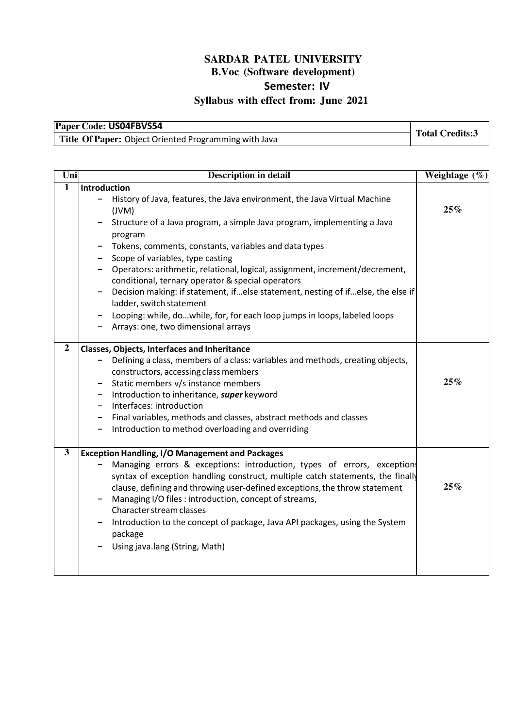| Paper Code: US04FBVS54                                |                        |
|-------------------------------------------------------|------------------------|
| Title Of Paper: Object Oriented Programming with Java | <b>Total Credits:3</b> |

| $\overline{\text{Uni}}$ | <b>Description in detail</b>                                                                                                                                                                                                                                                                                                                                                                                                                                                                                                                                                                                                | Weightage $(\%)$ |
|-------------------------|-----------------------------------------------------------------------------------------------------------------------------------------------------------------------------------------------------------------------------------------------------------------------------------------------------------------------------------------------------------------------------------------------------------------------------------------------------------------------------------------------------------------------------------------------------------------------------------------------------------------------------|------------------|
| $\overline{1}$          | Introduction<br>History of Java, features, the Java environment, the Java Virtual Machine<br>-<br>(JVM)<br>Structure of a Java program, a simple Java program, implementing a Java<br>program<br>Tokens, comments, constants, variables and data types<br>Scope of variables, type casting<br>Operators: arithmetic, relational, logical, assignment, increment/decrement,<br>conditional, ternary operator & special operators<br>Decision making: if statement, ifelse statement, nesting of ifelse, the else if<br>ladder, switch statement<br>Looping: while, dowhile, for, for each loop jumps in loops, labeled loops | 25%              |
| $\overline{2}$          | Arrays: one, two dimensional arrays<br><b>Classes, Objects, Interfaces and Inheritance</b><br>Defining a class, members of a class: variables and methods, creating objects,<br>constructors, accessing class members<br>Static members v/s instance members<br>Introduction to inheritance, super keyword<br>Interfaces: introduction<br>Final variables, methods and classes, abstract methods and classes<br>Introduction to method overloading and overriding                                                                                                                                                           | 25%              |
| $\overline{\mathbf{3}}$ | <b>Exception Handling, I/O Management and Packages</b><br>Managing errors & exceptions: introduction, types of errors, exceptions<br>syntax of exception handling construct, multiple catch statements, the finally<br>clause, defining and throwing user-defined exceptions, the throw statement<br>Managing I/O files : introduction, concept of streams,<br>Character stream classes<br>Introduction to the concept of package, Java API packages, using the System<br>package<br>Using java.lang (String, Math)                                                                                                         | 25%              |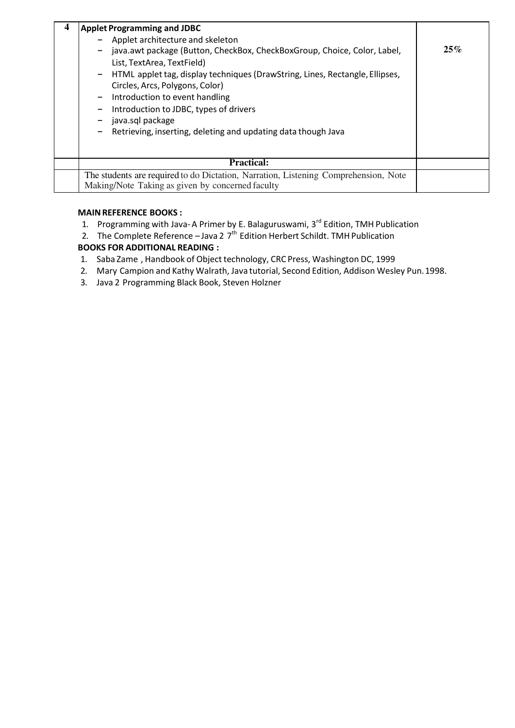| <b>Applet Programming and JDBC</b><br>Applet architecture and skeleton<br>java.awt package (Button, CheckBox, CheckBoxGroup, Choice, Color, Label,<br>List, TextArea, TextField)<br>- HTML applet tag, display techniques (DrawString, Lines, Rectangle, Ellipses,<br>Circles, Arcs, Polygons, Color)<br>Introduction to event handling<br>Introduction to JDBC, types of drivers<br>java.sql package<br>Retrieving, inserting, deleting and updating data though Java | 25% |
|------------------------------------------------------------------------------------------------------------------------------------------------------------------------------------------------------------------------------------------------------------------------------------------------------------------------------------------------------------------------------------------------------------------------------------------------------------------------|-----|
| <b>Practical:</b>                                                                                                                                                                                                                                                                                                                                                                                                                                                      |     |
| The students are required to do Dictation, Narration, Listening Comprehension, Note<br>Making/Note Taking as given by concerned faculty                                                                                                                                                                                                                                                                                                                                |     |

#### **MAIN REFERENCE BOOKS :**

- 1. Programming with Java-A Primer by E. Balaguruswami, 3<sup>rd</sup> Edition, TMH Publication
- 2. The Complete Reference  $-$  Java 2  $7<sup>th</sup>$  Edition Herbert Schildt. TMH Publication **BOOKS FOR ADDITIONAL READING :**

- 1. Saba Zame , Handbook of Object technology, CRC Press, Washington DC, 1999
- 2. Mary Campion and Kathy Walrath, Java tutorial, Second Edition, Addison Wesley Pun. 1998.
- 3. Java 2 Programming Black Book, Steven Holzner